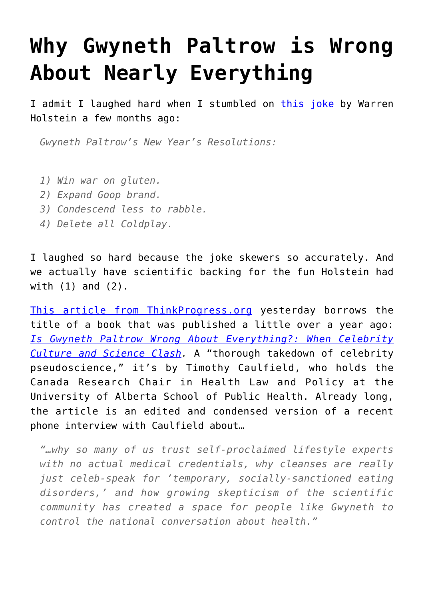## **[Why Gwyneth Paltrow is Wrong](https://intellectualtakeout.org/2016/04/why-gwyneth-paltrow-is-wrong-about-nearly-everything/) [About Nearly Everything](https://intellectualtakeout.org/2016/04/why-gwyneth-paltrow-is-wrong-about-nearly-everything/)**

I admit I laughed hard when I stumbled on [this joke](http://www.jokeblogger.com/joke/74gz) by Warren Holstein a few months ago:

*Gwyneth Paltrow's New Year's Resolutions:*

- *1) Win war on gluten.*
- *2) Expand Goop brand.*
- *3) Condescend less to rabble.*
- *4) Delete all Coldplay.*

I laughed so hard because the joke skewers so accurately. And we actually have scientific backing for the fun Holstein had with (1) and (2).

[This article from ThinkProgress.org](http://thinkprogress.org/culture/2016/04/21/3771419/is-gwyneth-paltrow-wrong-about-everything-this-scientist-thinks-so/) yesterday borrows the title of a book that was published a little over a year ago: *[Is Gwyneth Paltrow Wrong About Everything?: When Celebrity](http://www.amazon.com/Gwyneth-Paltrow-Wrong-About-Everything/dp/067006758X) [Culture and Science Clash.](http://www.amazon.com/Gwyneth-Paltrow-Wrong-About-Everything/dp/067006758X)* A "thorough takedown of celebrity pseudoscience," it's by Timothy Caulfield, who holds the Canada Research Chair in Health Law and Policy at the University of Alberta School of Public Health. Already long, the article is an edited and condensed version of a recent phone interview with Caulfield about…

*"…why so many of us trust self-proclaimed lifestyle experts with no actual medical credentials, why cleanses are really just celeb-speak for 'temporary, socially-sanctioned eating disorders,' and how growing skepticism of the scientific community has created a space for people like Gwyneth to control the national conversation about health."*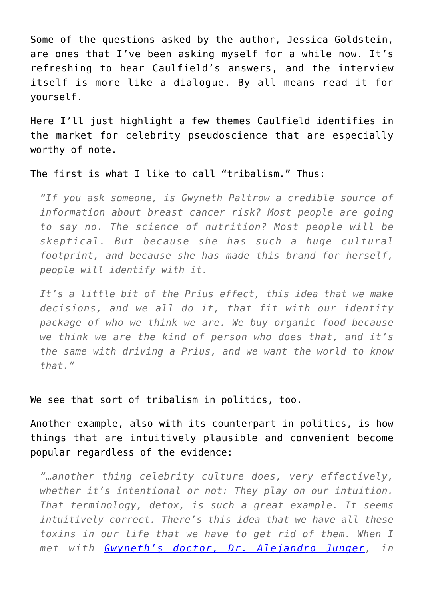Some of the questions asked by the author, Jessica Goldstein, are ones that I've been asking myself for a while now. It's refreshing to hear Caulfield's answers, and the interview itself is more like a dialogue. By all means read it for yourself.

Here I'll just highlight a few themes Caulfield identifies in the market for celebrity pseudoscience that are especially worthy of note.

The first is what I like to call "tribalism." Thus:

*"If you ask someone, is Gwyneth Paltrow a credible source of information about breast cancer risk? Most people are going to say no. The science of nutrition? Most people will be skeptical. But because she has such a huge cultural footprint, and because she has made this brand for herself, people will identify with it.*

*It's a little bit of the Prius effect, this idea that we make decisions, and we all do it, that fit with our identity package of who we think we are. We buy organic food because we think we are the kind of person who does that, and it's the same with driving a Prius, and we want the world to know that."*

We see that sort of tribalism in politics, too.

Another example, also with its counterpart in politics, is how things that are intuitively plausible and convenient become popular regardless of the evidence:

*"…another thing celebrity culture does, very effectively, whether it's intentional or not: They play on our intuition. That terminology, detox, is such a great example. It seems intuitively correct. There's this idea that we have all these toxins in our life that we have to get rid of them. When I met with [Gwyneth's doctor, Dr. Alejandro Junger](http://goop.com/clean/), in*